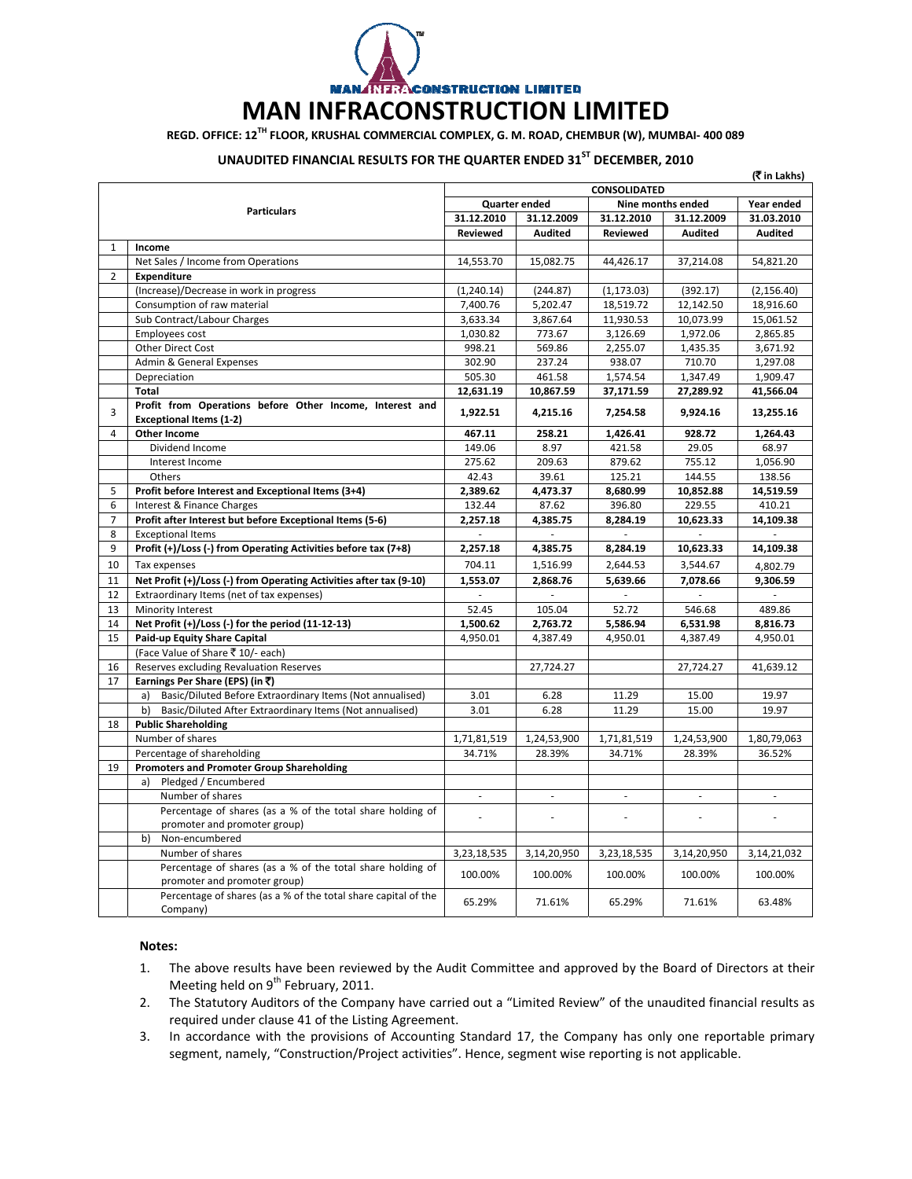

## **MAN INFRACONSTRUCTION LIMITED**

**REGD. OFFICE: 12TH FLOOR, KRUSHAL COMMERCIAL COMPLEX, G. M. ROAD, CHEMBUR (W), MUMBAI‐ 400 089**

## **UNAUDITED FINANCIAL RESULTS FOR THE QUARTER ENDED 31ST DECEMBER, 2010**

|                    |                                                                                            |               |                |                   |                | (रैं in Lakhs) |  |  |  |
|--------------------|--------------------------------------------------------------------------------------------|---------------|----------------|-------------------|----------------|----------------|--|--|--|
|                    |                                                                                            |               | CONSOLIDATED   |                   |                |                |  |  |  |
| <b>Particulars</b> |                                                                                            | Quarter ended |                | Nine months ended |                | Year ended     |  |  |  |
|                    |                                                                                            | 31.12.2010    | 31.12.2009     | 31.12.2010        | 31.12.2009     | 31.03.2010     |  |  |  |
|                    |                                                                                            | Reviewed      | <b>Audited</b> | Reviewed          | <b>Audited</b> | Audited        |  |  |  |
| $\mathbf{1}$       | Income                                                                                     |               |                |                   |                |                |  |  |  |
|                    | Net Sales / Income from Operations                                                         | 14,553.70     | 15,082.75      | 44,426.17         | 37,214.08      | 54,821.20      |  |  |  |
| $\overline{2}$     | Expenditure                                                                                |               |                |                   |                |                |  |  |  |
|                    | (Increase)/Decrease in work in progress                                                    | (1, 240.14)   | (244.87)       | (1, 173.03)       | (392.17)       | (2, 156.40)    |  |  |  |
|                    | Consumption of raw material                                                                | 7,400.76      | 5,202.47       | 18,519.72         | 12,142.50      | 18,916.60      |  |  |  |
|                    | Sub Contract/Labour Charges                                                                | 3,633.34      | 3,867.64       | 11,930.53         | 10,073.99      | 15,061.52      |  |  |  |
|                    | Employees cost                                                                             | 1,030.82      | 773.67         | 3,126.69          | 1,972.06       | 2,865.85       |  |  |  |
|                    | Other Direct Cost                                                                          | 998.21        | 569.86         | 2,255.07          | 1,435.35       | 3,671.92       |  |  |  |
|                    | Admin & General Expenses                                                                   | 302.90        | 237.24         | 938.07            | 710.70         | 1,297.08       |  |  |  |
|                    | Depreciation                                                                               | 505.30        | 461.58         | 1,574.54          | 1,347.49       | 1,909.47       |  |  |  |
|                    | <b>Total</b>                                                                               | 12,631.19     | 10,867.59      | 37,171.59         | 27,289.92      | 41,566.04      |  |  |  |
| 3                  | Profit from Operations before Other Income, Interest and<br><b>Exceptional Items (1-2)</b> | 1,922.51      | 4,215.16       | 7,254.58          | 9,924.16       | 13,255.16      |  |  |  |
| $\overline{4}$     | Other Income                                                                               | 467.11        | 258.21         | 1,426.41          | 928.72         | 1,264.43       |  |  |  |
|                    | Dividend Income                                                                            | 149.06        | 8.97           | 421.58            | 29.05          | 68.97          |  |  |  |
|                    | Interest Income                                                                            | 275.62        | 209.63         | 879.62            | 755.12         | 1,056.90       |  |  |  |
|                    |                                                                                            | 42.43         |                | 125.21            | 144.55         |                |  |  |  |
|                    | Others                                                                                     |               | 39.61          |                   |                | 138.56         |  |  |  |
| 5                  | Profit before Interest and Exceptional Items (3+4)                                         | 2,389.62      | 4,473.37       | 8,680.99          | 10,852.88      | 14,519.59      |  |  |  |
| 6                  | Interest & Finance Charges                                                                 | 132.44        | 87.62          | 396.80            | 229.55         | 410.21         |  |  |  |
| $\overline{7}$     | Profit after Interest but before Exceptional Items (5-6)                                   | 2,257.18      | 4,385.75       | 8,284.19          | 10,623.33      | 14,109.38      |  |  |  |
| 8                  | <b>Exceptional Items</b>                                                                   |               |                |                   |                |                |  |  |  |
| 9                  | Profit (+)/Loss (-) from Operating Activities before tax (7+8)                             | 2,257.18      | 4,385.75       | 8,284.19          | 10,623.33      | 14,109.38      |  |  |  |
| 10                 | Tax expenses                                                                               | 704.11        | 1,516.99       | 2,644.53          | 3,544.67       | 4,802.79       |  |  |  |
| 11                 | Net Profit (+)/Loss (-) from Operating Activities after tax (9-10)                         | 1,553.07      | 2,868.76       | 5,639.66          | 7,078.66       | 9,306.59       |  |  |  |
| 12                 | Extraordinary Items (net of tax expenses)                                                  | ÷.            |                |                   | ÷.             | ÷.             |  |  |  |
| 13                 | Minority Interest                                                                          | 52.45         | 105.04         | 52.72             | 546.68         | 489.86         |  |  |  |
| 14                 | Net Profit (+)/Loss (-) for the period (11-12-13)                                          | 1,500.62      | 2,763.72       | 5,586.94          | 6,531.98       | 8,816.73       |  |  |  |
| 15                 | Paid-up Equity Share Capital                                                               | 4,950.01      | 4,387.49       | 4,950.01          | 4,387.49       | 4,950.01       |  |  |  |
|                    | (Face Value of Share ₹ 10/- each)                                                          |               |                |                   |                |                |  |  |  |
| 16                 | Reserves excluding Revaluation Reserves                                                    |               | 27,724.27      |                   | 27,724.27      | 41,639.12      |  |  |  |
| 17                 | Earnings Per Share (EPS) (in ₹)                                                            |               |                |                   |                |                |  |  |  |
|                    | Basic/Diluted Before Extraordinary Items (Not annualised)<br>a)                            | 3.01          | 6.28           | 11.29             | 15.00          | 19.97          |  |  |  |
|                    | Basic/Diluted After Extraordinary Items (Not annualised)<br>b)                             | 3.01          | 6.28           | 11.29             | 15.00          | 19.97          |  |  |  |
| 18                 | <b>Public Shareholding</b>                                                                 |               |                |                   |                |                |  |  |  |
|                    | Number of shares                                                                           | 1,71,81,519   | 1,24,53,900    | 1,71,81,519       | 1,24,53,900    | 1,80,79,063    |  |  |  |
|                    | Percentage of shareholding                                                                 | 34.71%        | 28.39%         | 34.71%            | 28.39%         | 36.52%         |  |  |  |
| 19                 | <b>Promoters and Promoter Group Shareholding</b>                                           |               |                |                   |                |                |  |  |  |
|                    | Pledged / Encumbered<br>a)                                                                 |               |                |                   |                |                |  |  |  |
|                    | Number of shares                                                                           | $\mathcal{L}$ | $\mathcal{L}$  | ÷.                | $\omega$       | ÷.             |  |  |  |
|                    | Percentage of shares (as a % of the total share holding of                                 |               |                |                   |                |                |  |  |  |
|                    | promoter and promoter group)                                                               |               |                |                   |                |                |  |  |  |
|                    | b)<br>Non-encumbered                                                                       |               |                |                   |                |                |  |  |  |
|                    | Number of shares                                                                           | 3,23,18,535   | 3,14,20,950    | 3,23,18,535       | 3,14,20,950    | 3,14,21,032    |  |  |  |
|                    | Percentage of shares (as a % of the total share holding of                                 |               |                |                   |                |                |  |  |  |
|                    | promoter and promoter group)                                                               | 100.00%       | 100.00%        | 100.00%           | 100.00%        | 100.00%        |  |  |  |
|                    | Percentage of shares (as a % of the total share capital of the<br>Company)                 | 65.29%        | 71.61%         | 65.29%            | 71.61%         | 63.48%         |  |  |  |

## **Notes:**

- 1. The above results have been reviewed by the Audit Committee and approved by the Board of Directors at their Meeting held on  $9^{th}$  February, 2011.
- 2. The Statutory Auditors of the Company have carried out a "Limited Review" of the unaudited financial results as required under clause 41 of the Listing Agreement.
- 3. In accordance with the provisions of Accounting Standard 17, the Company has only one reportable primary segment, namely, "Construction/Project activities". Hence, segment wise reporting is not applicable.